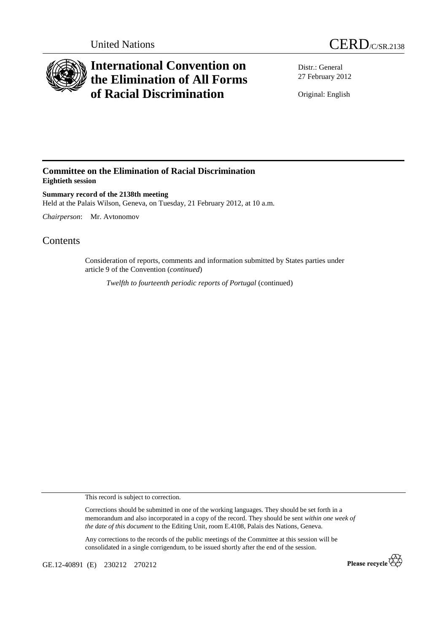



## **International Convention on the Elimination of All Forms of Racial Discrimination**

Distr.: General 27 February 2012

Original: English

## **Committee on the Elimination of Racial Discrimination Eightieth session**

**Summary record of the 2138th meeting**  Held at the Palais Wilson, Geneva, on Tuesday, 21 February 2012, at 10 a.m.

*Chairperson*: Mr. Avtonomov

## **Contents**

Consideration of reports, comments and information submitted by States parties under article 9 of the Convention (*continued*)

*Twelfth to fourteenth periodic reports of Portugal (continued)* 

This record is subject to correction.

Corrections should be submitted in one of the working languages. They should be set forth in a memorandum and also incorporated in a copy of the record. They should be sent *within one week of the date of this document* to the Editing Unit, room E.4108, Palais des Nations, Geneva.

Any corrections to the records of the public meetings of the Committee at this session will be consolidated in a single corrigendum, to be issued shortly after the end of the session.

GE.12-40891 (E) 230212 270212

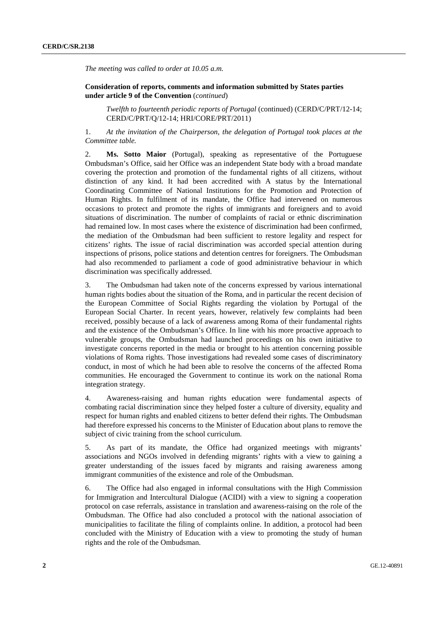*The meeting was called to order at 10.05 a.m.* 

 **Consideration of reports, comments and information submitted by States parties under article 9 of the Convention** (*continued*)

*Twelfth to fourteenth periodic reports of Portugal* (continued) (CERD/C/PRT/12-14; CERD/C/PRT/Q/12-14; HRI/CORE/PRT/2011)

1. *At the invitation of the Chairperson, the delegation of Portugal took places at the Committee table.* 

2. **Ms. Sotto Maior** (Portugal), speaking as representative of the Portuguese Ombudsman's Office, said her Office was an independent State body with a broad mandate covering the protection and promotion of the fundamental rights of all citizens, without distinction of any kind. It had been accredited with A status by the International Coordinating Committee of National Institutions for the Promotion and Protection of Human Rights. In fulfilment of its mandate, the Office had intervened on numerous occasions to protect and promote the rights of immigrants and foreigners and to avoid situations of discrimination. The number of complaints of racial or ethnic discrimination had remained low. In most cases where the existence of discrimination had been confirmed, the mediation of the Ombudsman had been sufficient to restore legality and respect for citizens' rights. The issue of racial discrimination was accorded special attention during inspections of prisons, police stations and detention centres for foreigners. The Ombudsman had also recommended to parliament a code of good administrative behaviour in which discrimination was specifically addressed.

3. The Ombudsman had taken note of the concerns expressed by various international human rights bodies about the situation of the Roma, and in particular the recent decision of the European Committee of Social Rights regarding the violation by Portugal of the European Social Charter. In recent years, however, relatively few complaints had been received, possibly because of a lack of awareness among Roma of their fundamental rights and the existence of the Ombudsman's Office. In line with his more proactive approach to vulnerable groups, the Ombudsman had launched proceedings on his own initiative to investigate concerns reported in the media or brought to his attention concerning possible violations of Roma rights. Those investigations had revealed some cases of discriminatory conduct, in most of which he had been able to resolve the concerns of the affected Roma communities. He encouraged the Government to continue its work on the national Roma integration strategy.

4. Awareness-raising and human rights education were fundamental aspects of combating racial discrimination since they helped foster a culture of diversity, equality and respect for human rights and enabled citizens to better defend their rights. The Ombudsman had therefore expressed his concerns to the Minister of Education about plans to remove the subject of civic training from the school curriculum.

5. As part of its mandate, the Office had organized meetings with migrants' associations and NGOs involved in defending migrants' rights with a view to gaining a greater understanding of the issues faced by migrants and raising awareness among immigrant communities of the existence and role of the Ombudsman.

6. The Office had also engaged in informal consultations with the High Commission for Immigration and Intercultural Dialogue (ACIDI) with a view to signing a cooperation protocol on case referrals, assistance in translation and awareness-raising on the role of the Ombudsman. The Office had also concluded a protocol with the national association of municipalities to facilitate the filing of complaints online. In addition, a protocol had been concluded with the Ministry of Education with a view to promoting the study of human rights and the role of the Ombudsman.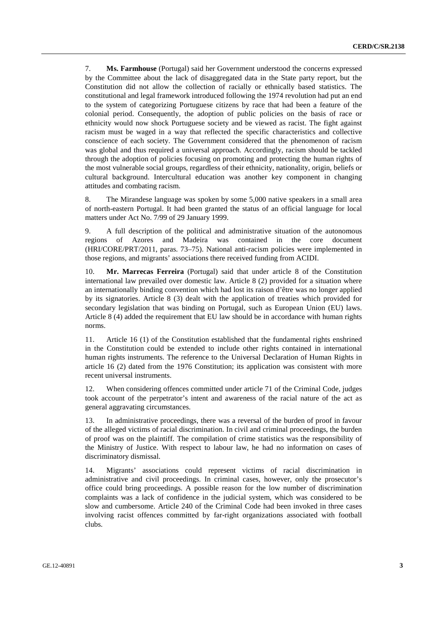7. **Ms. Farmhouse** (Portugal) said her Government understood the concerns expressed by the Committee about the lack of disaggregated data in the State party report, but the Constitution did not allow the collection of racially or ethnically based statistics. The constitutional and legal framework introduced following the 1974 revolution had put an end to the system of categorizing Portuguese citizens by race that had been a feature of the colonial period. Consequently, the adoption of public policies on the basis of race or ethnicity would now shock Portuguese society and be viewed as racist. The fight against racism must be waged in a way that reflected the specific characteristics and collective conscience of each society. The Government considered that the phenomenon of racism was global and thus required a universal approach. Accordingly, racism should be tackled through the adoption of policies focusing on promoting and protecting the human rights of the most vulnerable social groups, regardless of their ethnicity, nationality, origin, beliefs or cultural background. Intercultural education was another key component in changing attitudes and combating racism.

8. The Mirandese language was spoken by some 5,000 native speakers in a small area of north-eastern Portugal. It had been granted the status of an official language for local matters under Act No. 7/99 of 29 January 1999.

9. A full description of the political and administrative situation of the autonomous regions of Azores and Madeira was contained in the core document (HRI/CORE/PRT/2011, paras. 73–75). National anti-racism policies were implemented in those regions, and migrants' associations there received funding from ACIDI.

10. **Mr. Marrecas Ferreira** (Portugal) said that under article 8 of the Constitution international law prevailed over domestic law. Article 8 (2) provided for a situation where an internationally binding convention which had lost its raison d'être was no longer applied by its signatories. Article 8 (3) dealt with the application of treaties which provided for secondary legislation that was binding on Portugal, such as European Union (EU) laws. Article 8 (4) added the requirement that EU law should be in accordance with human rights norms.

11. Article 16 (1) of the Constitution established that the fundamental rights enshrined in the Constitution could be extended to include other rights contained in international human rights instruments. The reference to the Universal Declaration of Human Rights in article 16 (2) dated from the 1976 Constitution; its application was consistent with more recent universal instruments.

12. When considering offences committed under article 71 of the Criminal Code, judges took account of the perpetrator's intent and awareness of the racial nature of the act as general aggravating circumstances.

13. In administrative proceedings, there was a reversal of the burden of proof in favour of the alleged victims of racial discrimination. In civil and criminal proceedings, the burden of proof was on the plaintiff. The compilation of crime statistics was the responsibility of the Ministry of Justice. With respect to labour law, he had no information on cases of discriminatory dismissal.

Migrants' associations could represent victims of racial discrimination in administrative and civil proceedings. In criminal cases, however, only the prosecutor's office could bring proceedings. A possible reason for the low number of discrimination complaints was a lack of confidence in the judicial system, which was considered to be slow and cumbersome. Article 240 of the Criminal Code had been invoked in three cases involving racist offences committed by far-right organizations associated with football clubs.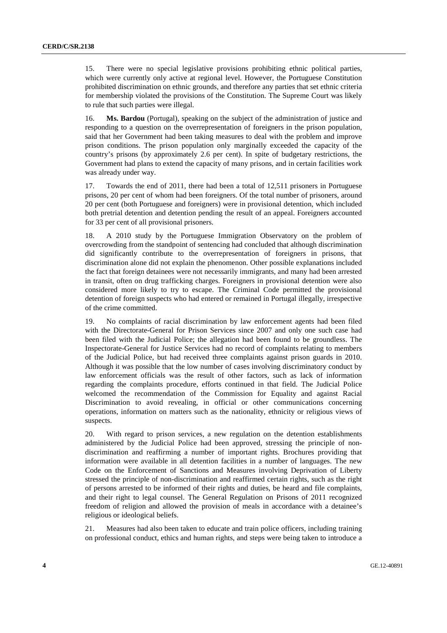15. There were no special legislative provisions prohibiting ethnic political parties, which were currently only active at regional level. However, the Portuguese Constitution prohibited discrimination on ethnic grounds, and therefore any parties that set ethnic criteria for membership violated the provisions of the Constitution. The Supreme Court was likely to rule that such parties were illegal.

16. **Ms. Bardou** (Portugal), speaking on the subject of the administration of justice and responding to a question on the overrepresentation of foreigners in the prison population, said that her Government had been taking measures to deal with the problem and improve prison conditions. The prison population only marginally exceeded the capacity of the country's prisons (by approximately 2.6 per cent). In spite of budgetary restrictions, the Government had plans to extend the capacity of many prisons, and in certain facilities work was already under way.

17. Towards the end of 2011, there had been a total of 12,511 prisoners in Portuguese prisons, 20 per cent of whom had been foreigners. Of the total number of prisoners, around 20 per cent (both Portuguese and foreigners) were in provisional detention, which included both pretrial detention and detention pending the result of an appeal. Foreigners accounted for 33 per cent of all provisional prisoners.

18. A 2010 study by the Portuguese Immigration Observatory on the problem of overcrowding from the standpoint of sentencing had concluded that although discrimination did significantly contribute to the overrepresentation of foreigners in prisons, that discrimination alone did not explain the phenomenon. Other possible explanations included the fact that foreign detainees were not necessarily immigrants, and many had been arrested in transit, often on drug trafficking charges. Foreigners in provisional detention were also considered more likely to try to escape. The Criminal Code permitted the provisional detention of foreign suspects who had entered or remained in Portugal illegally, irrespective of the crime committed.

19. No complaints of racial discrimination by law enforcement agents had been filed with the Directorate-General for Prison Services since 2007 and only one such case had been filed with the Judicial Police; the allegation had been found to be groundless. The Inspectorate-General for Justice Services had no record of complaints relating to members of the Judicial Police, but had received three complaints against prison guards in 2010. Although it was possible that the low number of cases involving discriminatory conduct by law enforcement officials was the result of other factors, such as lack of information regarding the complaints procedure, efforts continued in that field. The Judicial Police welcomed the recommendation of the Commission for Equality and against Racial Discrimination to avoid revealing, in official or other communications concerning operations, information on matters such as the nationality, ethnicity or religious views of suspects.

20. With regard to prison services, a new regulation on the detention establishments administered by the Judicial Police had been approved, stressing the principle of nondiscrimination and reaffirming a number of important rights. Brochures providing that information were available in all detention facilities in a number of languages. The new Code on the Enforcement of Sanctions and Measures involving Deprivation of Liberty stressed the principle of non-discrimination and reaffirmed certain rights, such as the right of persons arrested to be informed of their rights and duties, be heard and file complaints, and their right to legal counsel. The General Regulation on Prisons of 2011 recognized freedom of religion and allowed the provision of meals in accordance with a detainee's religious or ideological beliefs.

21. Measures had also been taken to educate and train police officers, including training on professional conduct, ethics and human rights, and steps were being taken to introduce a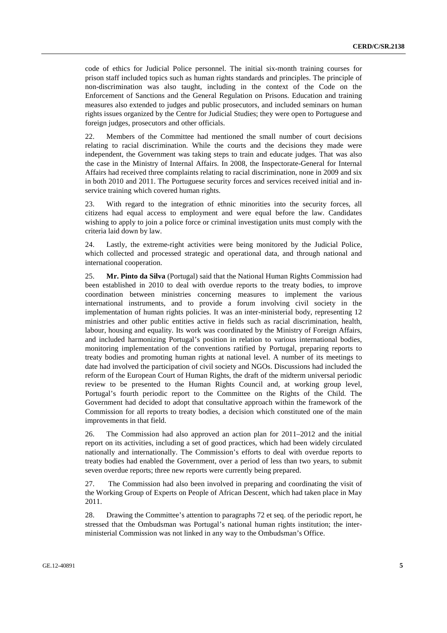code of ethics for Judicial Police personnel. The initial six-month training courses for prison staff included topics such as human rights standards and principles. The principle of non-discrimination was also taught, including in the context of the Code on the Enforcement of Sanctions and the General Regulation on Prisons. Education and training measures also extended to judges and public prosecutors, and included seminars on human rights issues organized by the Centre for Judicial Studies; they were open to Portuguese and foreign judges, prosecutors and other officials.

22. Members of the Committee had mentioned the small number of court decisions relating to racial discrimination. While the courts and the decisions they made were independent, the Government was taking steps to train and educate judges. That was also the case in the Ministry of Internal Affairs. In 2008, the Inspectorate-General for Internal Affairs had received three complaints relating to racial discrimination, none in 2009 and six in both 2010 and 2011. The Portuguese security forces and services received initial and inservice training which covered human rights.

23. With regard to the integration of ethnic minorities into the security forces, all citizens had equal access to employment and were equal before the law. Candidates wishing to apply to join a police force or criminal investigation units must comply with the criteria laid down by law.

24. Lastly, the extreme-right activities were being monitored by the Judicial Police, which collected and processed strategic and operational data, and through national and international cooperation.

25. **Mr. Pinto da Silva** (Portugal) said that the National Human Rights Commission had been established in 2010 to deal with overdue reports to the treaty bodies, to improve coordination between ministries concerning measures to implement the various international instruments, and to provide a forum involving civil society in the implementation of human rights policies. It was an inter-ministerial body, representing 12 ministries and other public entities active in fields such as racial discrimination, health, labour, housing and equality. Its work was coordinated by the Ministry of Foreign Affairs, and included harmonizing Portugal's position in relation to various international bodies, monitoring implementation of the conventions ratified by Portugal, preparing reports to treaty bodies and promoting human rights at national level. A number of its meetings to date had involved the participation of civil society and NGOs. Discussions had included the reform of the European Court of Human Rights, the draft of the midterm universal periodic review to be presented to the Human Rights Council and, at working group level, Portugal's fourth periodic report to the Committee on the Rights of the Child. The Government had decided to adopt that consultative approach within the framework of the Commission for all reports to treaty bodies, a decision which constituted one of the main improvements in that field.

26. The Commission had also approved an action plan for 2011–2012 and the initial report on its activities, including a set of good practices, which had been widely circulated nationally and internationally. The Commission's efforts to deal with overdue reports to treaty bodies had enabled the Government, over a period of less than two years, to submit seven overdue reports; three new reports were currently being prepared.

27. The Commission had also been involved in preparing and coordinating the visit of the Working Group of Experts on People of African Descent, which had taken place in May 2011.

28. Drawing the Committee's attention to paragraphs 72 et seq. of the periodic report, he stressed that the Ombudsman was Portugal's national human rights institution; the interministerial Commission was not linked in any way to the Ombudsman's Office.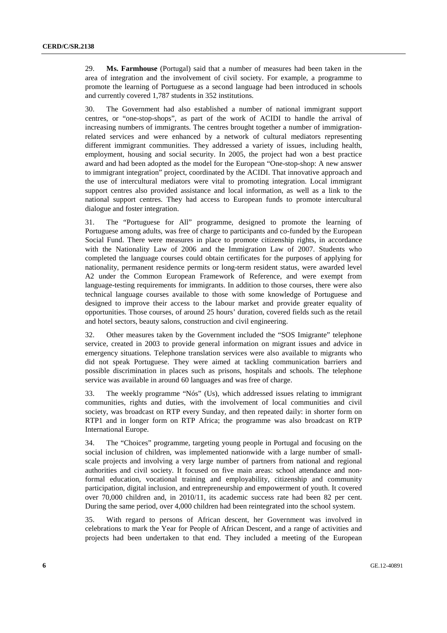29. **Ms. Farmhouse** (Portugal) said that a number of measures had been taken in the area of integration and the involvement of civil society. For example, a programme to promote the learning of Portuguese as a second language had been introduced in schools and currently covered 1,787 students in 352 institutions.

30. The Government had also established a number of national immigrant support centres, or "one-stop-shops", as part of the work of ACIDI to handle the arrival of increasing numbers of immigrants. The centres brought together a number of immigrationrelated services and were enhanced by a network of cultural mediators representing different immigrant communities. They addressed a variety of issues, including health, employment, housing and social security. In 2005, the project had won a best practice award and had been adopted as the model for the European "One-stop-shop: A new answer to immigrant integration" project, coordinated by the ACIDI. That innovative approach and the use of intercultural mediators were vital to promoting integration. Local immigrant support centres also provided assistance and local information, as well as a link to the national support centres. They had access to European funds to promote intercultural dialogue and foster integration.

31. The "Portuguese for All" programme, designed to promote the learning of Portuguese among adults, was free of charge to participants and co-funded by the European Social Fund. There were measures in place to promote citizenship rights, in accordance with the Nationality Law of 2006 and the Immigration Law of 2007. Students who completed the language courses could obtain certificates for the purposes of applying for nationality, permanent residence permits or long-term resident status, were awarded level A2 under the Common European Framework of Reference, and were exempt from language-testing requirements for immigrants. In addition to those courses, there were also technical language courses available to those with some knowledge of Portuguese and designed to improve their access to the labour market and provide greater equality of opportunities. Those courses, of around 25 hours' duration, covered fields such as the retail and hotel sectors, beauty salons, construction and civil engineering.

32. Other measures taken by the Government included the "SOS Imigrante" telephone service, created in 2003 to provide general information on migrant issues and advice in emergency situations. Telephone translation services were also available to migrants who did not speak Portuguese. They were aimed at tackling communication barriers and possible discrimination in places such as prisons, hospitals and schools. The telephone service was available in around 60 languages and was free of charge.

33. The weekly programme "Nós" (Us), which addressed issues relating to immigrant communities, rights and duties, with the involvement of local communities and civil society, was broadcast on RTP every Sunday, and then repeated daily: in shorter form on RTP1 and in longer form on RTP Africa; the programme was also broadcast on RTP International Europe.

34. The "Choices" programme, targeting young people in Portugal and focusing on the social inclusion of children, was implemented nationwide with a large number of smallscale projects and involving a very large number of partners from national and regional authorities and civil society. It focused on five main areas: school attendance and nonformal education, vocational training and employability, citizenship and community participation, digital inclusion, and entrepreneurship and empowerment of youth. It covered over 70,000 children and, in 2010/11, its academic success rate had been 82 per cent. During the same period, over 4,000 children had been reintegrated into the school system.

35. With regard to persons of African descent, her Government was involved in celebrations to mark the Year for People of African Descent, and a range of activities and projects had been undertaken to that end. They included a meeting of the European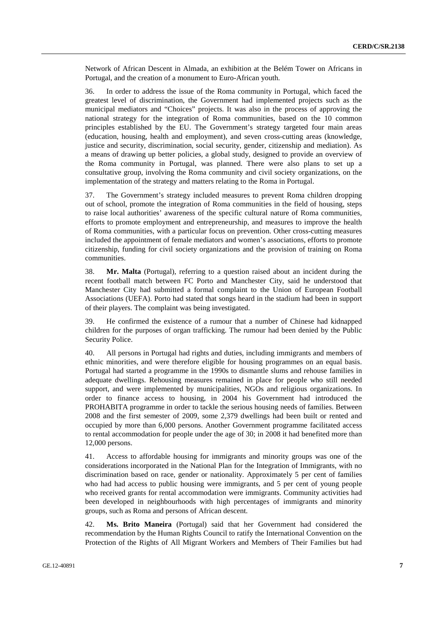Network of African Descent in Almada, an exhibition at the Belém Tower on Africans in Portugal, and the creation of a monument to Euro-African youth.

36. In order to address the issue of the Roma community in Portugal, which faced the greatest level of discrimination, the Government had implemented projects such as the municipal mediators and "Choices" projects. It was also in the process of approving the national strategy for the integration of Roma communities, based on the 10 common principles established by the EU. The Government's strategy targeted four main areas (education, housing, health and employment), and seven cross-cutting areas (knowledge, justice and security, discrimination, social security, gender, citizenship and mediation). As a means of drawing up better policies, a global study, designed to provide an overview of the Roma community in Portugal, was planned. There were also plans to set up a consultative group, involving the Roma community and civil society organizations, on the implementation of the strategy and matters relating to the Roma in Portugal.

37. The Government's strategy included measures to prevent Roma children dropping out of school, promote the integration of Roma communities in the field of housing, steps to raise local authorities' awareness of the specific cultural nature of Roma communities, efforts to promote employment and entrepreneurship, and measures to improve the health of Roma communities, with a particular focus on prevention. Other cross-cutting measures included the appointment of female mediators and women's associations, efforts to promote citizenship, funding for civil society organizations and the provision of training on Roma communities.

38. **Mr. Malta** (Portugal), referring to a question raised about an incident during the recent football match between FC Porto and Manchester City, said he understood that Manchester City had submitted a formal complaint to the Union of European Football Associations (UEFA). Porto had stated that songs heard in the stadium had been in support of their players. The complaint was being investigated.

39. He confirmed the existence of a rumour that a number of Chinese had kidnapped children for the purposes of organ trafficking. The rumour had been denied by the Public Security Police.

40. All persons in Portugal had rights and duties, including immigrants and members of ethnic minorities, and were therefore eligible for housing programmes on an equal basis. Portugal had started a programme in the 1990s to dismantle slums and rehouse families in adequate dwellings. Rehousing measures remained in place for people who still needed support, and were implemented by municipalities, NGOs and religious organizations. In order to finance access to housing, in 2004 his Government had introduced the PROHABITA programme in order to tackle the serious housing needs of families. Between 2008 and the first semester of 2009, some 2,379 dwellings had been built or rented and occupied by more than 6,000 persons. Another Government programme facilitated access to rental accommodation for people under the age of 30; in 2008 it had benefited more than 12,000 persons.

41. Access to affordable housing for immigrants and minority groups was one of the considerations incorporated in the National Plan for the Integration of Immigrants, with no discrimination based on race, gender or nationality. Approximately 5 per cent of families who had had access to public housing were immigrants, and 5 per cent of young people who received grants for rental accommodation were immigrants. Community activities had been developed in neighbourhoods with high percentages of immigrants and minority groups, such as Roma and persons of African descent.

42. **Ms. Brito Maneira** (Portugal) said that her Government had considered the recommendation by the Human Rights Council to ratify the International Convention on the Protection of the Rights of All Migrant Workers and Members of Their Families but had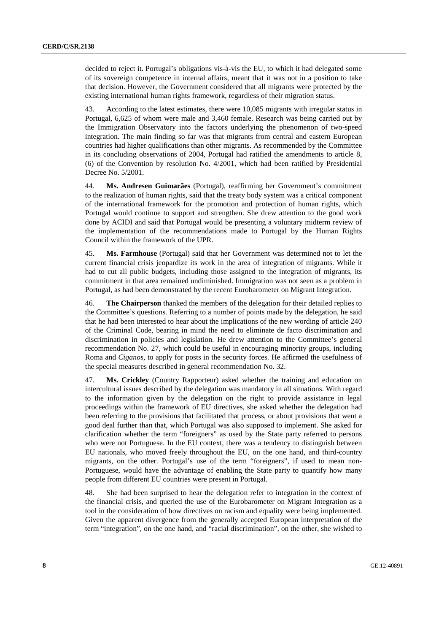decided to reject it. Portugal's obligations vis-à-vis the EU, to which it had delegated some of its sovereign competence in internal affairs, meant that it was not in a position to take that decision. However, the Government considered that all migrants were protected by the existing international human rights framework, regardless of their migration status.

43. According to the latest estimates, there were 10,085 migrants with irregular status in Portugal, 6,625 of whom were male and 3,460 female. Research was being carried out by the Immigration Observatory into the factors underlying the phenomenon of two-speed integration. The main finding so far was that migrants from central and eastern European countries had higher qualifications than other migrants. As recommended by the Committee in its concluding observations of 2004, Portugal had ratified the amendments to article 8, (6) of the Convention by resolution No. 4/2001, which had been ratified by Presidential Decree No. 5/2001.

44. **Ms. Andresen Guimarães** (Portugal), reaffirming her Government's commitment to the realization of human rights, said that the treaty body system was a critical component of the international framework for the promotion and protection of human rights, which Portugal would continue to support and strengthen. She drew attention to the good work done by ACIDI and said that Portugal would be presenting a voluntary midterm review of the implementation of the recommendations made to Portugal by the Human Rights Council within the framework of the UPR.

45. **Ms. Farmhouse** (Portugal) said that her Government was determined not to let the current financial crisis jeopardize its work in the area of integration of migrants. While it had to cut all public budgets, including those assigned to the integration of migrants, its commitment in that area remained undiminished. Immigration was not seen as a problem in Portugal, as had been demonstrated by the recent Eurobarometer on Migrant Integration.

46. **The Chairperson** thanked the members of the delegation for their detailed replies to the Committee's questions. Referring to a number of points made by the delegation, he said that he had been interested to hear about the implications of the new wording of article 240 of the Criminal Code, bearing in mind the need to eliminate de facto discrimination and discrimination in policies and legislation. He drew attention to the Committee's general recommendation No. 27, which could be useful in encouraging minority groups, including Roma and *Ciganos*, to apply for posts in the security forces. He affirmed the usefulness of the special measures described in general recommendation No. 32.

47. **Ms. Crickley** (Country Rapporteur) asked whether the training and education on intercultural issues described by the delegation was mandatory in all situations. With regard to the information given by the delegation on the right to provide assistance in legal proceedings within the framework of EU directives, she asked whether the delegation had been referring to the provisions that facilitated that process, or about provisions that went a good deal further than that, which Portugal was also supposed to implement. She asked for clarification whether the term "foreigners" as used by the State party referred to persons who were not Portuguese. In the EU context, there was a tendency to distinguish between EU nationals, who moved freely throughout the EU, on the one hand, and third-country migrants, on the other. Portugal's use of the term "foreigners", if used to mean non-Portuguese, would have the advantage of enabling the State party to quantify how many people from different EU countries were present in Portugal.

48. She had been surprised to hear the delegation refer to integration in the context of the financial crisis, and queried the use of the Eurobarometer on Migrant Integration as a tool in the consideration of how directives on racism and equality were being implemented. Given the apparent divergence from the generally accepted European interpretation of the term "integration", on the one hand, and "racial discrimination", on the other, she wished to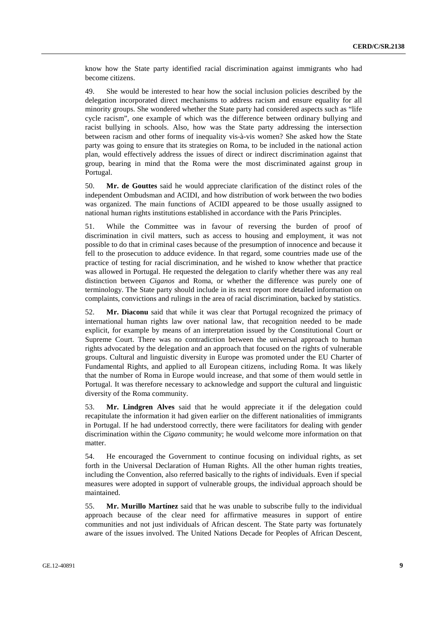know how the State party identified racial discrimination against immigrants who had become citizens.

49. She would be interested to hear how the social inclusion policies described by the delegation incorporated direct mechanisms to address racism and ensure equality for all minority groups. She wondered whether the State party had considered aspects such as "life cycle racism", one example of which was the difference between ordinary bullying and racist bullying in schools. Also, how was the State party addressing the intersection between racism and other forms of inequality vis-à-vis women? She asked how the State party was going to ensure that its strategies on Roma, to be included in the national action plan, would effectively address the issues of direct or indirect discrimination against that group, bearing in mind that the Roma were the most discriminated against group in Portugal.

50. **Mr. de Gouttes** said he would appreciate clarification of the distinct roles of the independent Ombudsman and ACIDI, and how distribution of work between the two bodies was organized. The main functions of ACIDI appeared to be those usually assigned to national human rights institutions established in accordance with the Paris Principles.

51. While the Committee was in favour of reversing the burden of proof of discrimination in civil matters, such as access to housing and employment, it was not possible to do that in criminal cases because of the presumption of innocence and because it fell to the prosecution to adduce evidence. In that regard, some countries made use of the practice of testing for racial discrimination, and he wished to know whether that practice was allowed in Portugal. He requested the delegation to clarify whether there was any real distinction between *Ciganos* and Roma, or whether the difference was purely one of terminology. The State party should include in its next report more detailed information on complaints, convictions and rulings in the area of racial discrimination, backed by statistics.

52. **Mr. Diaconu** said that while it was clear that Portugal recognized the primacy of international human rights law over national law, that recognition needed to be made explicit, for example by means of an interpretation issued by the Constitutional Court or Supreme Court. There was no contradiction between the universal approach to human rights advocated by the delegation and an approach that focused on the rights of vulnerable groups. Cultural and linguistic diversity in Europe was promoted under the EU Charter of Fundamental Rights, and applied to all European citizens, including Roma. It was likely that the number of Roma in Europe would increase, and that some of them would settle in Portugal. It was therefore necessary to acknowledge and support the cultural and linguistic diversity of the Roma community.

53. **Mr. Lindgren Alves** said that he would appreciate it if the delegation could recapitulate the information it had given earlier on the different nationalities of immigrants in Portugal. If he had understood correctly, there were facilitators for dealing with gender discrimination within the *Cigano* community; he would welcome more information on that matter.

54. He encouraged the Government to continue focusing on individual rights, as set forth in the Universal Declaration of Human Rights. All the other human rights treaties, including the Convention, also referred basically to the rights of individuals. Even if special measures were adopted in support of vulnerable groups, the individual approach should be maintained.

55. **Mr. Murillo Martínez** said that he was unable to subscribe fully to the individual approach because of the clear need for affirmative measures in support of entire communities and not just individuals of African descent. The State party was fortunately aware of the issues involved. The United Nations Decade for Peoples of African Descent,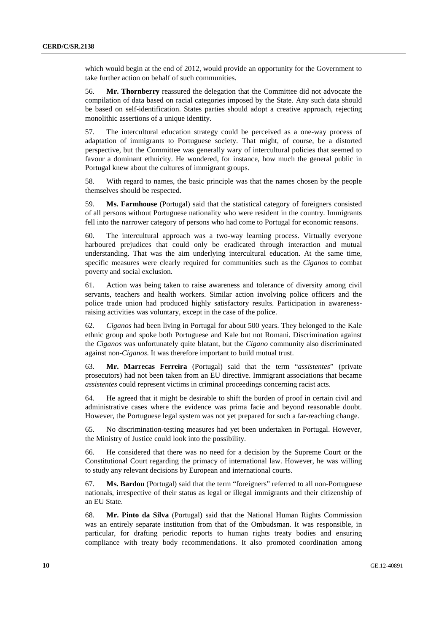which would begin at the end of 2012, would provide an opportunity for the Government to take further action on behalf of such communities.

56. **Mr. Thornberry** reassured the delegation that the Committee did not advocate the compilation of data based on racial categories imposed by the State. Any such data should be based on self-identification. States parties should adopt a creative approach, rejecting monolithic assertions of a unique identity.

57. The intercultural education strategy could be perceived as a one-way process of adaptation of immigrants to Portuguese society. That might, of course, be a distorted perspective, but the Committee was generally wary of intercultural policies that seemed to favour a dominant ethnicity. He wondered, for instance, how much the general public in Portugal knew about the cultures of immigrant groups.

58. With regard to names, the basic principle was that the names chosen by the people themselves should be respected.

59. **Ms. Farmhouse** (Portugal) said that the statistical category of foreigners consisted of all persons without Portuguese nationality who were resident in the country. Immigrants fell into the narrower category of persons who had come to Portugal for economic reasons.

60. The intercultural approach was a two-way learning process. Virtually everyone harboured prejudices that could only be eradicated through interaction and mutual understanding. That was the aim underlying intercultural education. At the same time, specific measures were clearly required for communities such as the *Ciganos* to combat poverty and social exclusion.

61. Action was being taken to raise awareness and tolerance of diversity among civil servants, teachers and health workers. Similar action involving police officers and the police trade union had produced highly satisfactory results. Participation in awarenessraising activities was voluntary, except in the case of the police.

62. *Ciganos* had been living in Portugal for about 500 years. They belonged to the Kale ethnic group and spoke both Portuguese and Kale but not Romani. Discrimination against the *Ciganos* was unfortunately quite blatant, but the *Cigano* community also discriminated against non-*Ciganos*. It was therefore important to build mutual trust.

63. **Mr. Marrecas Ferreira** (Portugal) said that the term "*assistentes*" (private prosecutors) had not been taken from an EU directive. Immigrant associations that became *assistentes* could represent victims in criminal proceedings concerning racist acts.

64. He agreed that it might be desirable to shift the burden of proof in certain civil and administrative cases where the evidence was prima facie and beyond reasonable doubt. However, the Portuguese legal system was not yet prepared for such a far-reaching change.

65. No discrimination-testing measures had yet been undertaken in Portugal. However, the Ministry of Justice could look into the possibility.

66. He considered that there was no need for a decision by the Supreme Court or the Constitutional Court regarding the primacy of international law. However, he was willing to study any relevant decisions by European and international courts.

67. **Ms. Bardou** (Portugal) said that the term "foreigners" referred to all non-Portuguese nationals, irrespective of their status as legal or illegal immigrants and their citizenship of an EU State.

68. **Mr. Pinto da Silva** (Portugal) said that the National Human Rights Commission was an entirely separate institution from that of the Ombudsman. It was responsible, in particular, for drafting periodic reports to human rights treaty bodies and ensuring compliance with treaty body recommendations. It also promoted coordination among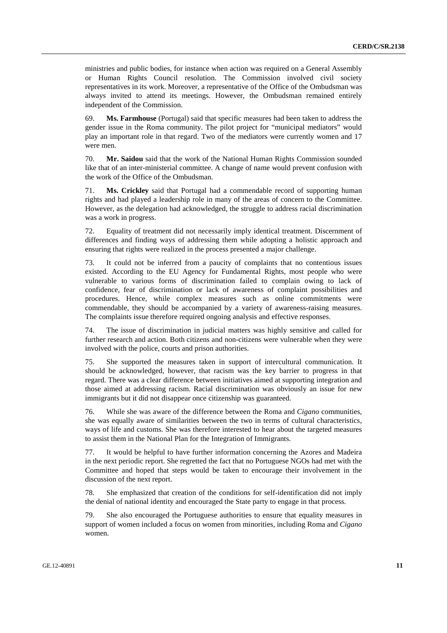ministries and public bodies, for instance when action was required on a General Assembly or Human Rights Council resolution. The Commission involved civil society representatives in its work. Moreover, a representative of the Office of the Ombudsman was always invited to attend its meetings. However, the Ombudsman remained entirely independent of the Commission.

69. **Ms. Farmhouse** (Portugal) said that specific measures had been taken to address the gender issue in the Roma community. The pilot project for "municipal mediators" would play an important role in that regard. Two of the mediators were currently women and 17 were men.

70. **Mr. Saidou** said that the work of the National Human Rights Commission sounded like that of an inter-ministerial committee. A change of name would prevent confusion with the work of the Office of the Ombudsman.

71. **Ms. Crickley** said that Portugal had a commendable record of supporting human rights and had played a leadership role in many of the areas of concern to the Committee. However, as the delegation had acknowledged, the struggle to address racial discrimination was a work in progress.

72. Equality of treatment did not necessarily imply identical treatment. Discernment of differences and finding ways of addressing them while adopting a holistic approach and ensuring that rights were realized in the process presented a major challenge.

73. It could not be inferred from a paucity of complaints that no contentious issues existed. According to the EU Agency for Fundamental Rights, most people who were vulnerable to various forms of discrimination failed to complain owing to lack of confidence, fear of discrimination or lack of awareness of complaint possibilities and procedures. Hence, while complex measures such as online commitments were commendable, they should be accompanied by a variety of awareness-raising measures. The complaints issue therefore required ongoing analysis and effective responses.

74. The issue of discrimination in judicial matters was highly sensitive and called for further research and action. Both citizens and non-citizens were vulnerable when they were involved with the police, courts and prison authorities.

75. She supported the measures taken in support of intercultural communication. It should be acknowledged, however, that racism was the key barrier to progress in that regard. There was a clear difference between initiatives aimed at supporting integration and those aimed at addressing racism. Racial discrimination was obviously an issue for new immigrants but it did not disappear once citizenship was guaranteed.

76. While she was aware of the difference between the Roma and *Cigano* communities, she was equally aware of similarities between the two in terms of cultural characteristics, ways of life and customs. She was therefore interested to hear about the targeted measures to assist them in the National Plan for the Integration of Immigrants.

77. It would be helpful to have further information concerning the Azores and Madeira in the next periodic report. She regretted the fact that no Portuguese NGOs had met with the Committee and hoped that steps would be taken to encourage their involvement in the discussion of the next report.

78. She emphasized that creation of the conditions for self-identification did not imply the denial of national identity and encouraged the State party to engage in that process.

79. She also encouraged the Portuguese authorities to ensure that equality measures in support of women included a focus on women from minorities, including Roma and *Cigano* women.